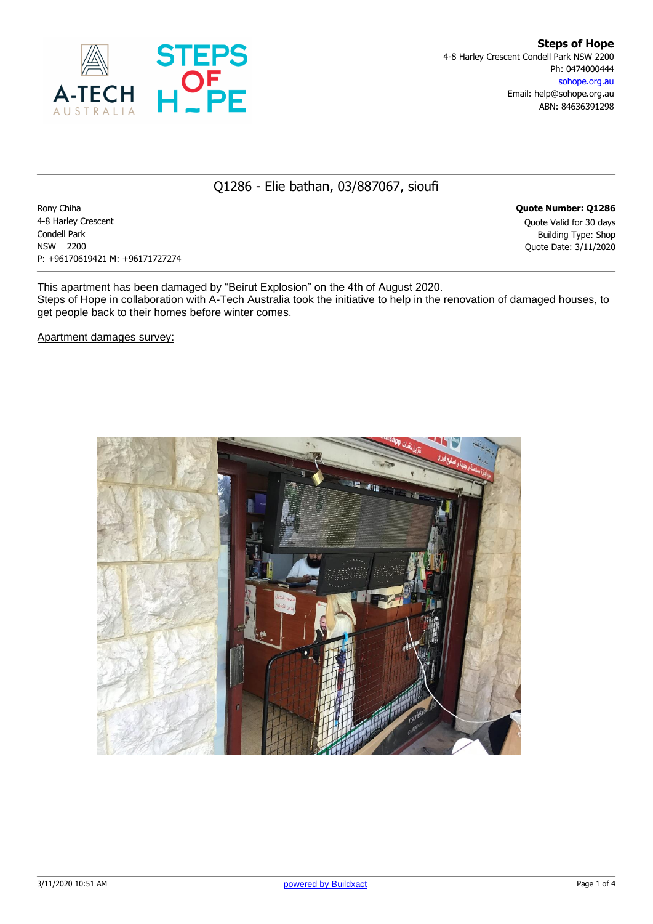

## Q1286 - Elie bathan, 03/887067, sioufi

Rony Chiha **Quote Number: Q1286** 4-8 Harley Crescent Quote Valid for 30 days Condell Park Building Type: Shop NSW 2200 Quote Date: 3/11/2020 P: +96170619421 M: +96171727274

This apartment has been damaged by "Beirut Explosion" on the 4th of August 2020. Steps of Hope in collaboration with A-Tech Australia took the initiative to help in the renovation of damaged houses, to get people back to their homes before winter comes.

Apartment damages survey:

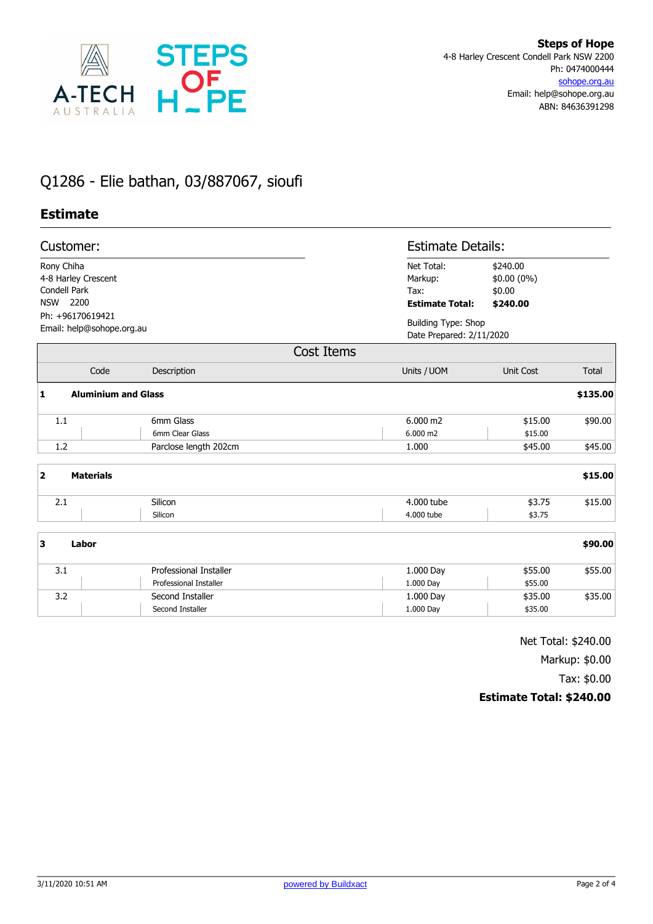

## Q1286 - Elie bathan, 03/887067, sioufi

## **Estimate**

| Customer:                                                           |                               |                               | <b>Estimate Details:</b>                               |          |  |
|---------------------------------------------------------------------|-------------------------------|-------------------------------|--------------------------------------------------------|----------|--|
| Rony Chiha<br>4-8 Harley Crescent<br>Condell Park                   |                               | Net Total:<br>Markup:<br>Tax: | \$240.00<br>\$0.00 (0%)<br>\$0.00                      |          |  |
| <b>NSW</b><br>2200<br>Ph: +96170619421<br>Email: help@sohope.org.au |                               | <b>Estimate Total:</b>        | \$240.00                                               |          |  |
|                                                                     |                               |                               | <b>Building Type: Shop</b><br>Date Prepared: 2/11/2020 |          |  |
|                                                                     |                               |                               |                                                        |          |  |
|                                                                     |                               | <b>Cost Items</b>             |                                                        |          |  |
|                                                                     |                               |                               |                                                        |          |  |
| Code                                                                | Description                   | Units / UOM                   | Unit Cost                                              | Total    |  |
| 1                                                                   | <b>Aluminium and Glass</b>    |                               |                                                        | \$135.00 |  |
| 1.1                                                                 | 6mm Glass                     | $6.000 \text{ m2}$            | \$15.00                                                | \$90.00  |  |
|                                                                     | 6mm Clear Glass               | 6.000 m2                      | \$15.00                                                |          |  |
| 1.2                                                                 | Parclose length 202cm         | 1.000                         | \$45.00                                                | \$45.00  |  |
| $\overline{\mathbf{2}}$<br><b>Materials</b>                         |                               |                               |                                                        | \$15.00  |  |
| 2.1                                                                 | Silicon                       | 4.000 tube                    | \$3.75                                                 | \$15.00  |  |
|                                                                     | Silicon                       | 4.000 tube                    | \$3.75                                                 |          |  |
| 3<br>Labor                                                          |                               |                               |                                                        | \$90.00  |  |
| 3.1                                                                 | <b>Professional Installer</b> | 1.000 Day                     | \$55.00                                                | \$55.00  |  |
|                                                                     | Professional Installer        | 1.000 Day                     | \$55.00                                                |          |  |
| 3.2                                                                 | Second Installer              | 1.000 Day                     | \$35.00                                                | \$35.00  |  |
|                                                                     | Second Installer              | 1.000 Day                     | \$35.00                                                |          |  |

Net Total: \$240.00

Markup: \$0.00

Tax: \$0.00

## **Estimate Total: \$240.00**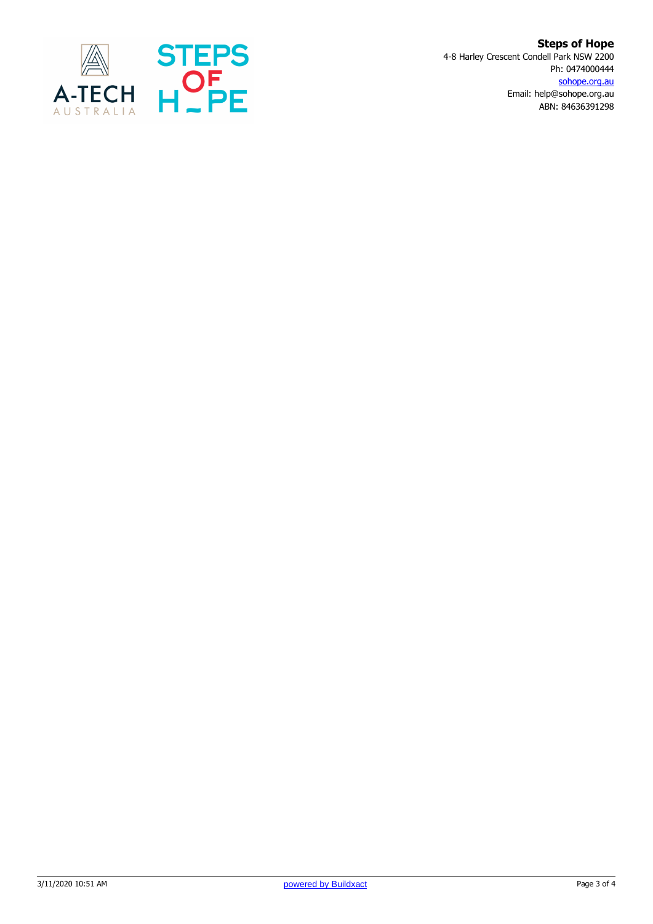

**Steps of Hope** 4-8 Harley Crescent Condell Park NSW 2200 Ph: 0474000444 sohope.org.au Email: help@sohope.org.au ABN: 84636391298